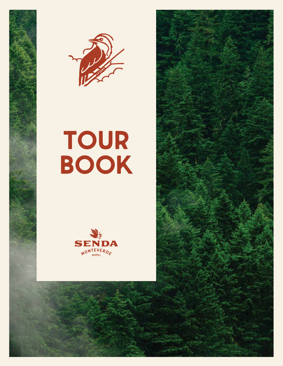



# **TOUR BOOK**



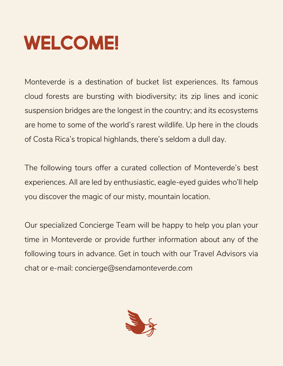# **WELCOME!**

Monteverde is a destination of bucket list experiences. Its famous cloud forests are bursting with biodiversity; its zip lines and iconic suspension bridges are the longest in the country; and its ecosystems are home to some of the world's rarest wildlife. Up here in the clouds of Costa Rica's tropical highlands, there's seldom a dull day.

The following tours offer a curated collection of Monteverde's best experiences. All are led by enthusiastic, eagle-eyed guides who'll help you discover the magic of our misty, mountain location.

Our specialized Concierge Team will be happy to help you plan your time in Monteverde or provide further information about any of the following tours in advance. Get in touch with our Travel Advisors via chat or e-mail: *concierge@sendamonteverde.com*

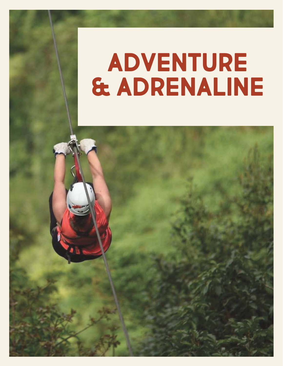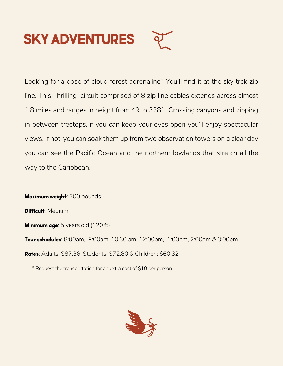# **SKY ADVENTURES**

Looking for a dose of cloud forest adrenaline? You'll find it at the sky trek zip line. This Thrilling circuit comprised of 8 zip line cables extends across almost 1.8 miles and ranges in height from 49 to 328ft. Crossing canyons and zipping in between treetops, if you can keep your eyes open you'll enjoy spectacular views. If not, you can soak them up from two observation towers on a clear day you can see the Pacific Ocean and the northern lowlands that stretch all the way to the Caribbean.

**Maximum weight**: 300 pounds **Difficult**: Medium **Minimum age**: 5 years old (120 ft) **Tour schedules**: 8:00am, 9:00am, 10:30 am, 12:00pm, 1:00pm, 2:00pm & 3:00pm **Rates**: Adults: \$87.36, Students: \$72.80 & Children: \$60.32

\* Request the transportation for an extra cost of \$10 per person.

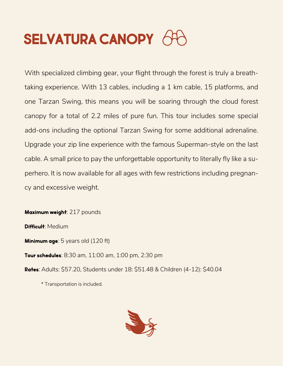## **SELVATURA CANOPY** 64

With specialized climbing gear, your flight through the forest is truly a breathtaking experience. With 13 cables, including a 1 km cable, 15 platforms, and one Tarzan Swing, this means you will be soaring through the cloud forest canopy for a total of 2.2 miles of pure fun. This tour includes some special add-ons including the optional Tarzan Swing for some additional adrenaline. Upgrade your zip line experience with the famous Superman-style on the last cable. A small price to pay the unforgettable opportunity to literally fly like a superhero. It is now available for all ages with few restrictions including pregnancy and excessive weight.

**Maximum weight**: 217 pounds **Difficult**: Medium

**Minimum age**: 5 years old (120 ft)

**Tour schedules**: 8:30 am, 11:00 am, 1:00 pm, 2:30 pm

**Rates**: Adults: \$57.20, Students under 18: \$51.48 & Children (4-12): \$40.04

\* Transportation is included.

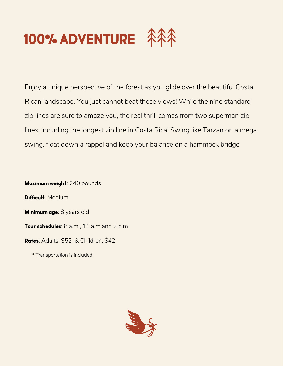

Enjoy a unique perspective of the forest as you glide over the beautiful Costa Rican landscape. You just cannot beat these views! While the nine standard zip lines are sure to amaze you, the real thrill comes from two superman zip lines, including the longest zip line in Costa Rica! Swing like Tarzan on a mega swing, float down a rappel and keep your balance on a hammock bridge

**Maximum weight**: 240 pounds **Difficult**: Medium **Minimum age**: 8 years old **Tour schedules**: 8 a.m., 11 a.m and 2 p.m **Rates**: Adults: \$52 & Children: \$42

\* Transportation is included

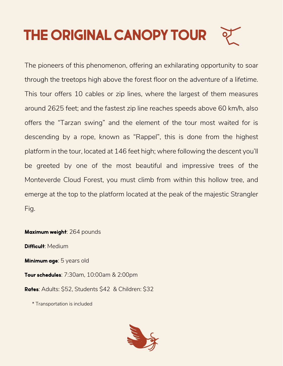# **THE ORIGINAL CANOPY TOUR**

The pioneers of this phenomenon, offering an exhilarating opportunity to soar through the treetops high above the forest floor on the adventure of a lifetime. This tour offers 10 cables or zip lines, where the largest of them measures around 2625 feet; and the fastest zip line reaches speeds above 60 km/h, also offers the "Tarzan swing" and the element of the tour most waited for is descending by a rope, known as "Rappel", this is done from the highest platform in the tour, located at 146 feet high; where following the descent you'll be greeted by one of the most beautiful and impressive trees of the Monteverde Cloud Forest, you must climb from within this hollow tree, and emerge at the top to the platform located at the peak of the majestic Strangler Fig.

**Maximum weight**: 264 pounds **Difficult**: Medium **Minimum age**: 5 years old **Tour schedules**: 7:30am, 10:00am & 2:00pm **Rates**: Adults: \$52, Students \$42 & Children: \$32

\* Transportation is included

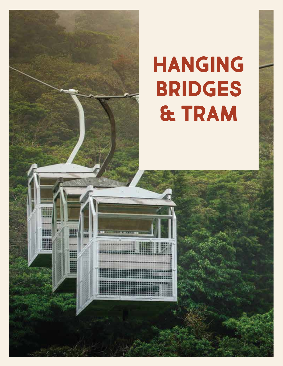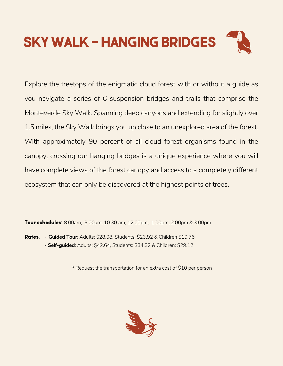

Explore the treetops of the enigmatic cloud forest with or without a guide as you navigate a series of 6 suspension bridges and trails that comprise the Monteverde Sky Walk. Spanning deep canyons and extending for slightly over 1.5 miles, the Sky Walk brings you up close to an unexplored area of the forest. With approximately 90 percent of all cloud forest organisms found in the canopy, crossing our hanging bridges is a unique experience where you will have complete views of the forest canopy and access to a completely different ecosystem that can only be discovered at the highest points of trees.

**Tour schedules**: 8:00am, 9:00am, 10:30 am, 12:00pm, 1:00pm, 2:00pm & 3:00pm

**Rates**: - **Guided Tour**: Adults: \$28.08, Students: \$23.92 & Children \$19.76 - **Self-guided**: Adults: \$42.64, Students: \$34.32 & Children: \$29.12

\* Request the transportation for an extra cost of \$10 per person

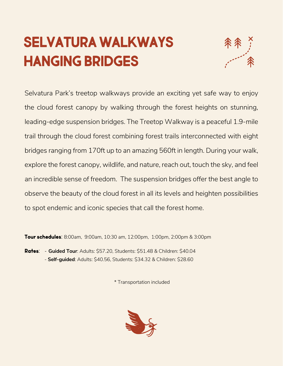### **SELVATURA WALKWAYS HANGING BRIDGES**



Selvatura Park's treetop walkways provide an exciting yet safe way to enjoy the cloud forest canopy by walking through the forest heights on stunning, leading-edge suspension bridges. The Treetop Walkway is a peaceful 1.9-mile trail through the cloud forest combining forest trails interconnected with eight bridges ranging from 170ft up to an amazing 560ft in length. During your walk, explore the forest canopy, wildlife, and nature, reach out, touch the sky, and feel an incredible sense of freedom. The suspension bridges offer the best angle to observe the beauty of the cloud forest in all its levels and heighten possibilities to spot endemic and iconic species that call the forest home.

**Tour schedules**: 8:00am, 9:00am, 10:30 am, 12:00pm, 1:00pm, 2:00pm & 3:00pm

**Rates**: - **Guided Tour**: Adults: \$57.20, Students: \$51.48 & Children: \$40.04 - **Self-guided**: Adults: \$40.56, Students: \$34.32 & Children: \$28.60

\* Transportation included

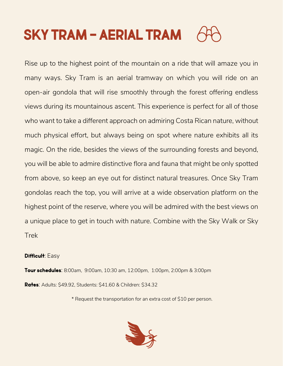### **SKY TRAM - AERIAL TRAM**

Rise up to the highest point of the mountain on a ride that will amaze you in many ways. Sky Tram is an aerial tramway on which you will ride on an open-air gondola that will rise smoothly through the forest offering endless views during its mountainous ascent. This experience is perfect for all of those who want to take a different approach on admiring Costa Rican nature, without much physical effort, but always being on spot where nature exhibits all its magic. On the ride, besides the views of the surrounding forests and beyond, you will be able to admire distinctive flora and fauna that might be only spotted from above, so keep an eye out for distinct natural treasures. Once Sky Tram gondolas reach the top, you will arrive at a wide observation platform on the highest point of the reserve, where you will be admired with the best views on a unique place to get in touch with nature. Combine with the Sky Walk or Sky Trek

#### **Difficult**: Easy

**Tour schedules**: 8:00am, 9:00am, 10:30 am, 12:00pm, 1:00pm, 2:00pm & 3:00pm **Rates**: Adults: \$49.92, Students: \$41.60 & Children: \$34.32

\* Request the transportation for an extra cost of \$10 per person.

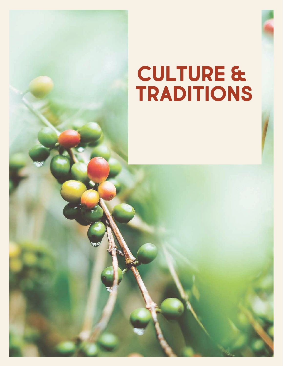# **CULTURE & TRADITIONS**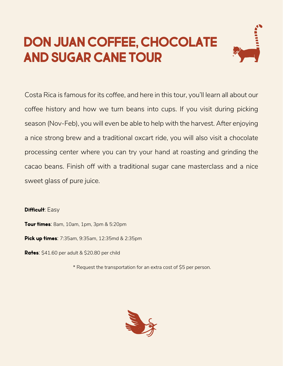#### **DON JUAN COFFEE, CHOCOLATE AND SUGAR CANE TOUR**



Costa Rica is famous for its coffee, and here in this tour, you'll learn all about our coffee history and how we turn beans into cups. If you visit during picking season (Nov-Feb), you will even be able to help with the harvest. After enjoying a nice strong brew and a traditional oxcart ride, you will also visit a chocolate processing center where you can try your hand at roasting and grinding the cacao beans. Finish off with a traditional sugar cane masterclass and a nice sweet glass of pure juice.

**Difficult**: Easy

**Tour times**: 8am, 10am, 1pm, 3pm & 5:20pm

**Pick up times**: 7:35am, 9:35am, 12:35md & 2:35pm

**Rates**: \$41.60 per adult & \$20.80 per child

\* Request the transportation for an extra cost of \$5 per person.

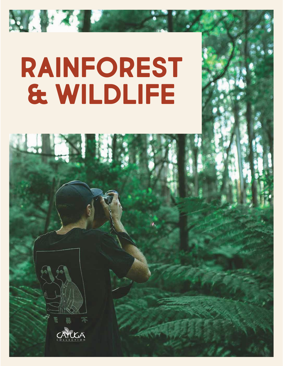# **RAINFOREST & WILDLIFE**

**RATION** 

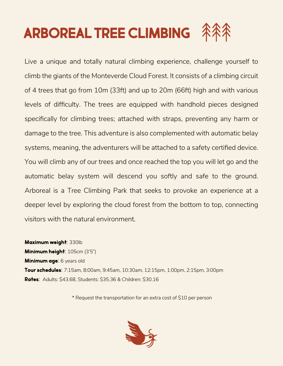### **ARBOREAL TREE CLIMBING**

Live a unique and totally natural climbing experience, challenge yourself to climb the giants of the Monteverde Cloud Forest. It consists of a climbing circuit of 4 trees that go from 10m (33ft) and up to 20m (66ft) high and with various levels of difficulty. The trees are equipped with handhold pieces designed specifically for climbing trees; attached with straps, preventing any harm or damage to the tree. This adventure is also complemented with automatic belay systems, meaning, the adventurers will be attached to a safety certified device. You will climb any of our trees and once reached the top you will let go and the automatic belay system will descend you softly and safe to the ground. Arboreal is a Tree Climbing Park that seeks to provoke an experience at a deeper level by exploring the cloud forest from the bottom to top, connecting visitors with the natural environment.

**Maximum weight**: 330lb **Minimum height**: 105cm (3'5") **Minimum age**: 6 years old **Tour schedules**: 7:15am, 8:00am, 9:45am, 10:30am, 12:15pm, 1:00pm, 2:15pm, 3:00pm **Rates**: Adults: \$43.68, Students: \$35.36 & Children: \$30.16

\* Request the transportation for an extra cost of \$10 per person

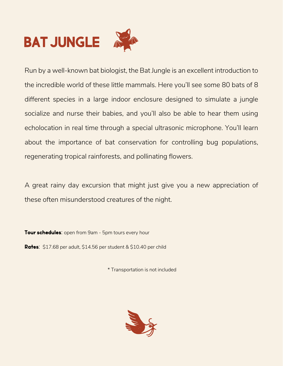## **BAT JUNGLE**



Run by a well-known bat biologist, the Bat Jungle is an excellent introduction to the incredible world of these little mammals. Here you'll see some 80 bats of 8 different species in a large indoor enclosure designed to simulate a jungle socialize and nurse their babies, and you'll also be able to hear them using echolocation in real time through a special ultrasonic microphone. You'll learn about the importance of bat conservation for controlling bug populations, regenerating tropical rainforests, and pollinating flowers.

A great rainy day excursion that might just give you a new appreciation of these often misunderstood creatures of the night.

**Tour schedules**: open from 9am - 5pm tours every hour

**Rates**: \$17.68 per adult, \$14.56 per student & \$10.40 per child

\* Transportation is not included

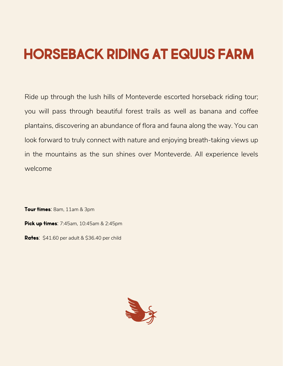### **HORSEBACK RIDING AT EQUUS FARM**

Ride up through the lush hills of Monteverde escorted horseback riding tour; you will pass through beautiful forest trails as well as banana and coffee plantains, discovering an abundance of flora and fauna along the way. You can look forward to truly connect with nature and enjoying breath-taking views up in the mountains as the sun shines over Monteverde. All experience levels welcome

**Tour times**: 8am, 11am & 3pm **Pick up times**: 7:45am, 10:45am & 2:45pm **Rates**: \$41.60 per adult & \$36.40 per child

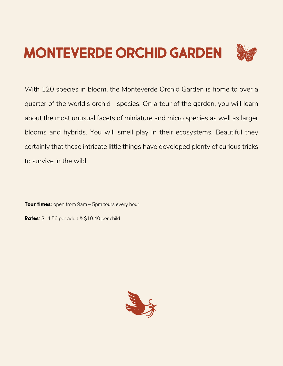### **MONTEVERDE ORCHID GARDEN**

With 120 species in bloom, the Monteverde Orchid Garden is home to over a quarter of the world's orchid species. On a tour of the garden, you will learn about the most unusual facets of miniature and micro species as well as larger blooms and hybrids. You will smell play in their ecosystems. Beautiful they certainly that these intricate little things have developed plenty of curious tricks to survive in the wild.

**Tour times**: open from 9am – 5pm tours every hour

**Rates**: \$14.56 per adult & \$10.40 per child

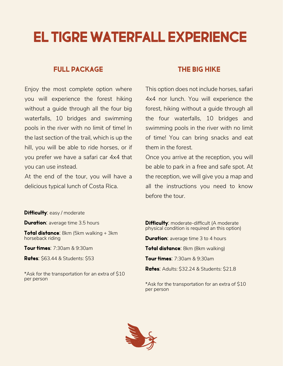#### **EL TIGRE WATERFALL EXPERIENCE**

#### **FULL PACKAGE**

Enjoy the most complete option where you will experience the forest hiking without a guide through all the four big waterfalls, 10 bridges and swimming pools in the river with no limit of time! In the last section of the trail, which is up the hill, you will be able to ride horses, or if you prefer we have a safari car 4x4 that you can use instead.

At the end of the tour, you will have a delicious typical lunch of Costa Rica.

#### **THE BIG HIKE**

This option does not include horses, safari 4x4 nor lunch. You will experience the forest, hiking without a guide through all the four waterfalls, 10 bridges and swimming pools in the river with no limit of time! You can bring snacks and eat them in the forest.

Once you arrive at the reception, you will be able to park in a free and safe spot. At the reception, we will give you a map and all the instructions you need to know before the tour.

#### **Difficulty**: easy / moderate

**Duration:** average time 3.5 hours

**Total distance**: 8km (5km walking + 3km horseback riding

**Tour times**: 7:30am & 9:30am

**Rates**: \$63.44 & Students: \$53

\*Ask for the transportation for an extra of \$10 per person

**Difficulty:** moderate-difficult (A moderate physical condition is required an this option)

**Duration:** average time 3 to 4 hours

**Total distance**: 8km (8km walking)

**Tour times**: 7:30am & 9:30am

**Rates**: Adults: \$32.24 & Students: \$21.8

\*Ask for the transportation for an extra of \$10 per person

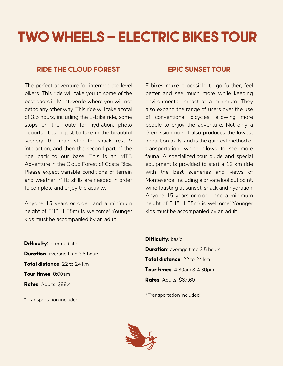### **TWO WHEELS – ELECTRIC BIKES TOUR**

#### **RIDE THE CLOUD FOREST**

The perfect adventure for intermediate level bikers. This ride will take you to some of the best spots in Monteverde where you will not get to any other way. This ride will take a total of 3.5 hours, including the E-Bike ride, some stops on the route for hydration, photo opportunities or just to take in the beautiful scenery; the main stop for snack, rest & interaction, and then the second part of the ride back to our base. This is an MTB Adventure in the Cloud Forest of Costa Rica. Please expect variable conditions of terrain and weather. MTB skills are needed in order to complete and enjoy the activity.

Anyone 15 years or older, and a minimum height of 5'1" (1.55m) is welcome! Younger kids must be accompanied by an adult.

#### **EPIC SUNSET TOUR**

E-bikes make it possible to go further, feel better and see much more while keeping environmental impact at a minimum. They also expand the range of users over the use of conventional bicycles, allowing more people to enjoy the adventure. Not only a 0-emission ride, it also produces the lowest impact on trails, and is the quietest method of transportation, which allows to see more fauna. A specialized tour guide and special equipment is provided to start a 12 km ride with the best sceneries and views of Monteverde, including a private lookout point, wine toasting at sunset, snack and hydration. Anyone 15 years or older, and a minimum height of 5'1" (1.55m) is welcome! Younger kids must be accompanied by an adult.

**Difficulty: intermediate Duration:** average time 3.5 hours **Total distance**: 22 to 24 km **Tour times**: 8:00am **Rates**: Adults: \$88.4

\*Transportation included

**Difficulty: basic Duration:** average time 2.5 hours **Total distance**: 22 to 24 km **Tour times**: 4:30am & 4:30pm **Rates**: Adults: \$67.60

\*Transportation included

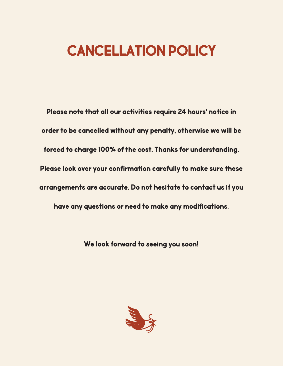#### **CANCELLATION POLICY**

**Please note that all our activities require 24 hours' notice in order to be cancelled without any penalty, otherwise we will be forced to charge 100% of the cost. Thanks for understanding. Please look over your confirmation carefully to make sure these arrangements are accurate. Do not hesitate to contact us if you have any questions or need to make any modifications.** 

**We look forward to seeing you soon!**